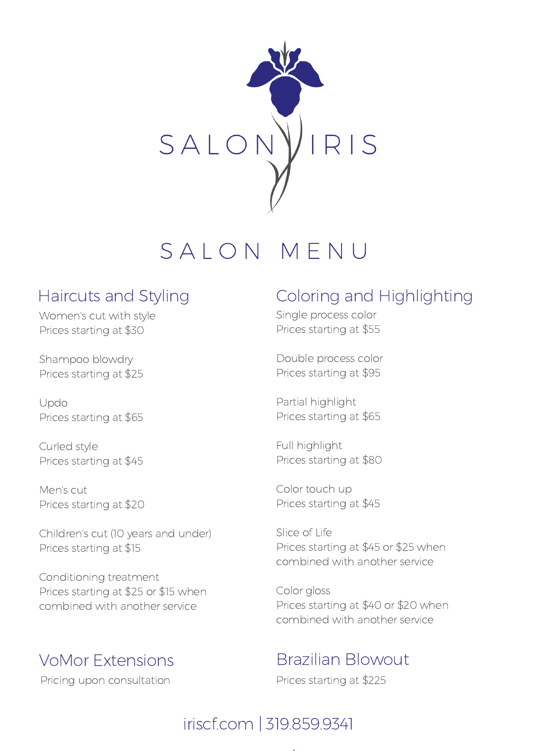

# SAION MENU

### Haircuts and Styling

Women's cut with style Prices starting at \$30

Shampoo blowdry Prices starting at \$25

Updo Prices starting at \$65

Curled style Prices starting at \$45

Men's cut Prices starting at \$20

Children's cut (10 years and under) Prices starting at \$15

Conditioning treatment Prices starting at \$25 or \$15 when combined with another service

## VoMor Extensions

Pricing upon consultation

## Coloring and Highlighting

Single process color Prices starting at \$55

Double process color Prices starting at \$95

Partial highlight Prices starting at \$65

Full highlight Prices starting at \$80

Color touch up Prices starting at \$45

Slice of Life Prices starting at \$45 or \$25 when combined with another service

Color gloss Prices starting at \$40 or \$20 when combined with another service

## Brazilian Blowout

Prices starting at \$225

## iriscf.com | 319.859.9341